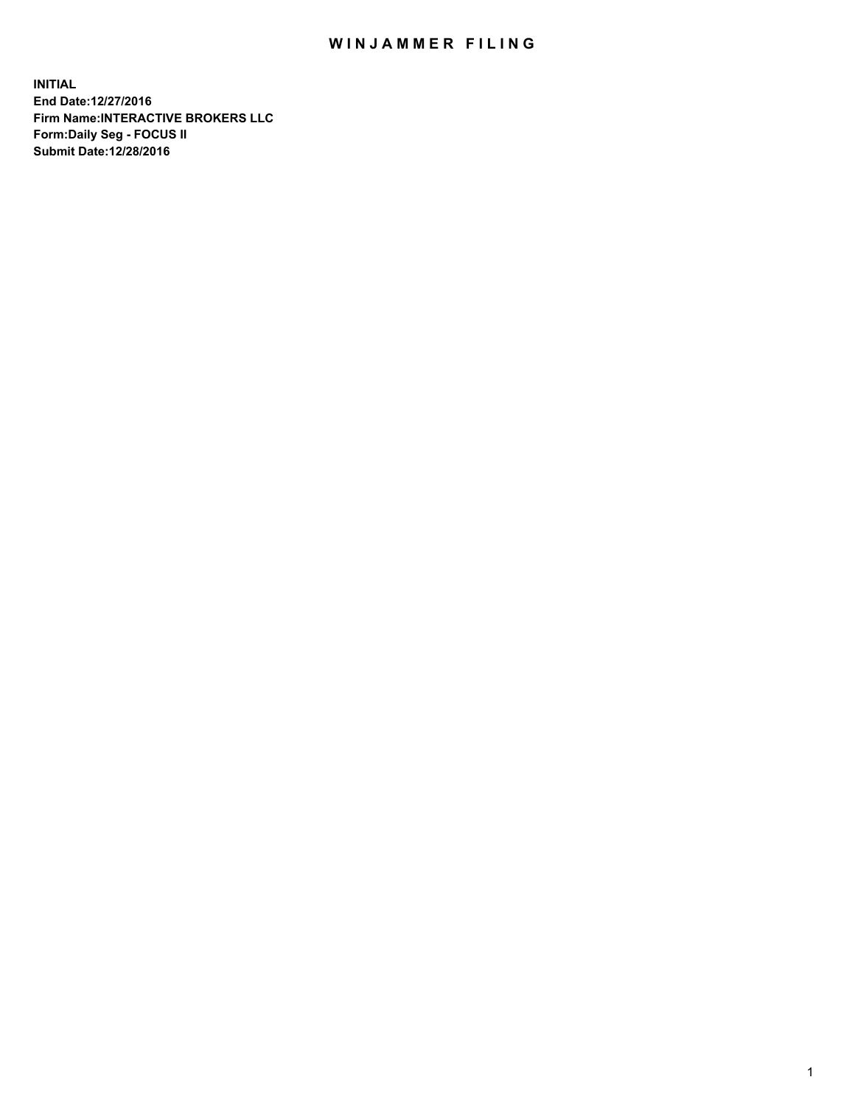## WIN JAMMER FILING

**INITIAL End Date:12/27/2016 Firm Name:INTERACTIVE BROKERS LLC Form:Daily Seg - FOCUS II Submit Date:12/28/2016**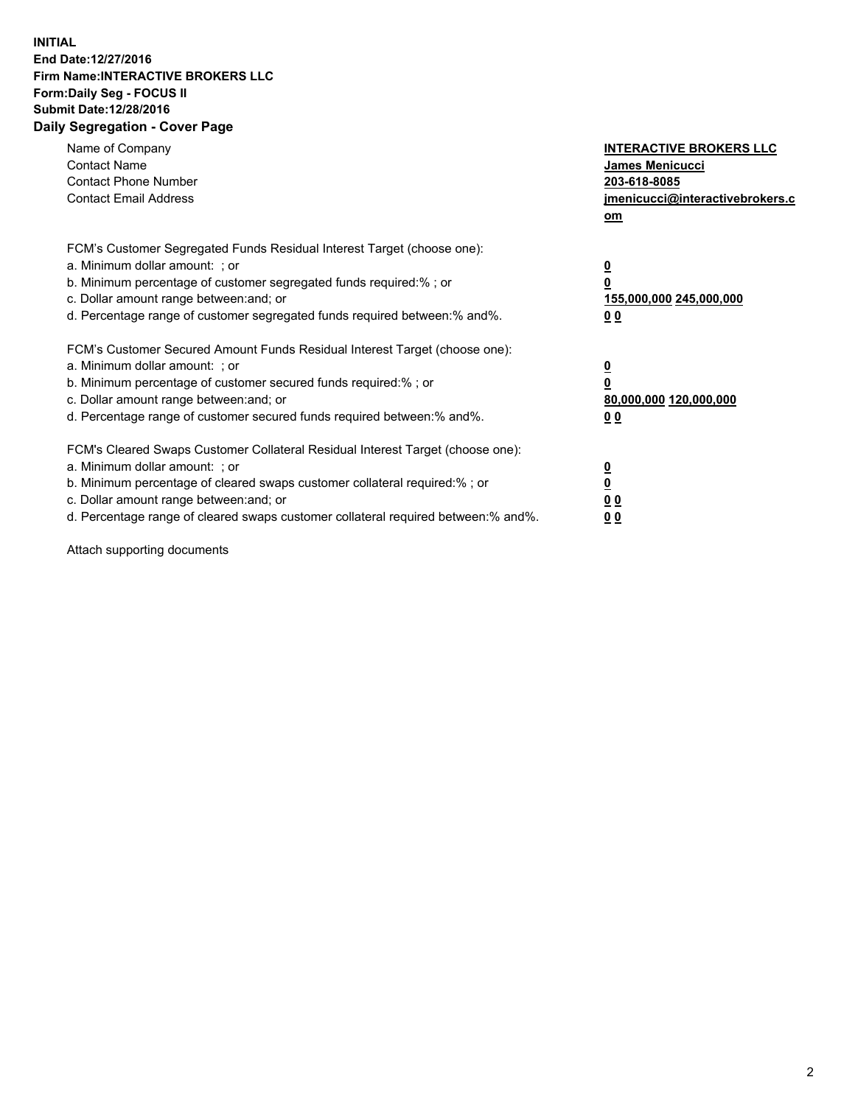## **INITIAL End Date:12/27/2016 Firm Name:INTERACTIVE BROKERS LLC Form:Daily Seg - FOCUS II Submit Date:12/28/2016 Daily Segregation - Cover Page**

| Name of Company<br><b>Contact Name</b><br><b>Contact Phone Number</b><br><b>Contact Email Address</b>                                                                                                                                                                                                                          | <b>INTERACTIVE BROKERS LLC</b><br>James Menicucci<br>203-618-8085<br>jmenicucci@interactivebrokers.c<br>om |
|--------------------------------------------------------------------------------------------------------------------------------------------------------------------------------------------------------------------------------------------------------------------------------------------------------------------------------|------------------------------------------------------------------------------------------------------------|
| FCM's Customer Segregated Funds Residual Interest Target (choose one):<br>a. Minimum dollar amount: ; or<br>b. Minimum percentage of customer segregated funds required:%; or<br>c. Dollar amount range between: and; or<br>d. Percentage range of customer segregated funds required between:% and%.                          | $\overline{\mathbf{0}}$<br>0<br>155,000,000 245,000,000<br>0 <sub>0</sub>                                  |
| FCM's Customer Secured Amount Funds Residual Interest Target (choose one):<br>a. Minimum dollar amount: ; or<br>b. Minimum percentage of customer secured funds required:%; or<br>c. Dollar amount range between: and; or<br>d. Percentage range of customer secured funds required between:% and%.                            | $\overline{\mathbf{0}}$<br>$\overline{\mathbf{0}}$<br>80,000,000 120,000,000<br>00                         |
| FCM's Cleared Swaps Customer Collateral Residual Interest Target (choose one):<br>a. Minimum dollar amount: ; or<br>b. Minimum percentage of cleared swaps customer collateral required:% ; or<br>c. Dollar amount range between: and; or<br>d. Percentage range of cleared swaps customer collateral required between:% and%. | $\overline{\mathbf{0}}$<br>$\overline{\mathbf{0}}$<br>0 <sub>0</sub><br><u>00</u>                          |

Attach supporting documents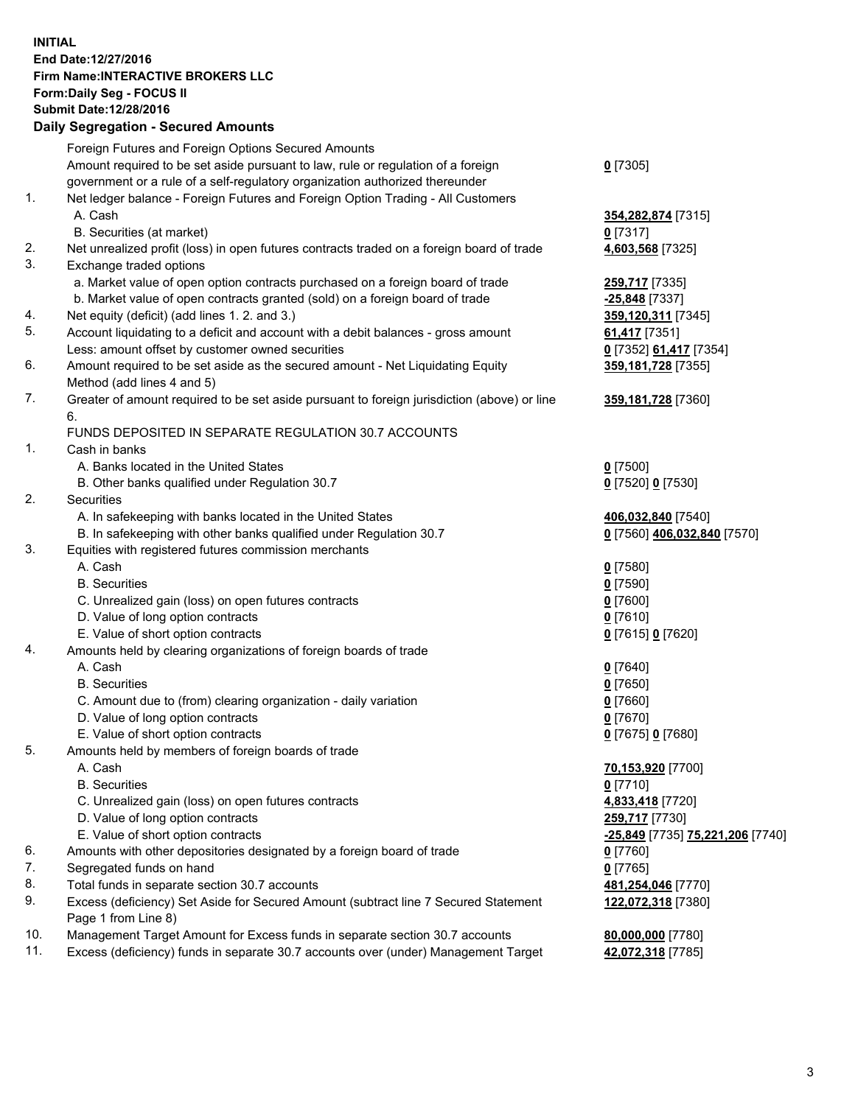## **INITIAL End Date:12/27/2016 Firm Name:INTERACTIVE BROKERS LLC Form:Daily Seg - FOCUS II Submit Date:12/28/2016 Daily Segregation - Secured Amounts**

|     | Daily Jegregation - Jeculed Aniounts                                                        |                                  |
|-----|---------------------------------------------------------------------------------------------|----------------------------------|
|     | Foreign Futures and Foreign Options Secured Amounts                                         |                                  |
|     | Amount required to be set aside pursuant to law, rule or regulation of a foreign            | $0$ [7305]                       |
|     | government or a rule of a self-regulatory organization authorized thereunder                |                                  |
| 1.  | Net ledger balance - Foreign Futures and Foreign Option Trading - All Customers             |                                  |
|     | A. Cash                                                                                     | 354,282,874 [7315]               |
|     | B. Securities (at market)                                                                   | $0$ [7317]                       |
| 2.  | Net unrealized profit (loss) in open futures contracts traded on a foreign board of trade   | 4,603,568 [7325]                 |
| 3.  | Exchange traded options                                                                     |                                  |
|     | a. Market value of open option contracts purchased on a foreign board of trade              | <b>259,717</b> [7335]            |
|     | b. Market value of open contracts granted (sold) on a foreign board of trade                | -25,848 [7337]                   |
| 4.  | Net equity (deficit) (add lines 1.2. and 3.)                                                | 359,120,311 [7345]               |
| 5.  | Account liquidating to a deficit and account with a debit balances - gross amount           | 61,417 [7351]                    |
|     | Less: amount offset by customer owned securities                                            | 0 [7352] 61,417 [7354]           |
| 6.  | Amount required to be set aside as the secured amount - Net Liquidating Equity              |                                  |
|     |                                                                                             | 359, 181, 728 [7355]             |
| 7.  | Method (add lines 4 and 5)                                                                  |                                  |
|     | Greater of amount required to be set aside pursuant to foreign jurisdiction (above) or line | 359,181,728 [7360]               |
|     | 6.                                                                                          |                                  |
|     | FUNDS DEPOSITED IN SEPARATE REGULATION 30.7 ACCOUNTS                                        |                                  |
| 1.  | Cash in banks                                                                               |                                  |
|     | A. Banks located in the United States                                                       | $0$ [7500]                       |
|     | B. Other banks qualified under Regulation 30.7                                              | 0 [7520] 0 [7530]                |
| 2.  | Securities                                                                                  |                                  |
|     | A. In safekeeping with banks located in the United States                                   | 406,032,840 [7540]               |
|     | B. In safekeeping with other banks qualified under Regulation 30.7                          | 0 [7560] 406,032,840 [7570]      |
| 3.  | Equities with registered futures commission merchants                                       |                                  |
|     | A. Cash                                                                                     | $0$ [7580]                       |
|     | <b>B.</b> Securities                                                                        | $0$ [7590]                       |
|     | C. Unrealized gain (loss) on open futures contracts                                         | $0$ [7600]                       |
|     | D. Value of long option contracts                                                           | $0$ [7610]                       |
|     | E. Value of short option contracts                                                          | 0 [7615] 0 [7620]                |
| 4.  | Amounts held by clearing organizations of foreign boards of trade                           |                                  |
|     | A. Cash                                                                                     | $0$ [7640]                       |
|     | <b>B.</b> Securities                                                                        | $0$ [7650]                       |
|     | C. Amount due to (from) clearing organization - daily variation                             | $0$ [7660]                       |
|     | D. Value of long option contracts                                                           | $0$ [7670]                       |
|     | E. Value of short option contracts                                                          | 0 [7675] 0 [7680]                |
| 5.  | Amounts held by members of foreign boards of trade                                          |                                  |
|     | A. Cash                                                                                     | 70,153,920 [7700]                |
|     | <b>B.</b> Securities                                                                        | $0$ [7710]                       |
|     | C. Unrealized gain (loss) on open futures contracts                                         | 4,833,418 [7720]                 |
|     | D. Value of long option contracts                                                           | 259,717 [7730]                   |
|     | E. Value of short option contracts                                                          | -25,849 [7735] 75,221,206 [7740] |
| 6.  | Amounts with other depositories designated by a foreign board of trade                      | 0 [7760]                         |
| 7.  | Segregated funds on hand                                                                    | $0$ [7765]                       |
| 8.  | Total funds in separate section 30.7 accounts                                               | 481,254,046 [7770]               |
| 9.  | Excess (deficiency) Set Aside for Secured Amount (subtract line 7 Secured Statement         | 122,072,318 [7380]               |
|     | Page 1 from Line 8)                                                                         |                                  |
| 10. | Management Target Amount for Excess funds in separate section 30.7 accounts                 | 80,000,000 [7780]                |
| 11. | Excess (deficiency) funds in separate 30.7 accounts over (under) Management Target          | 42,072,318 [7785]                |
|     |                                                                                             |                                  |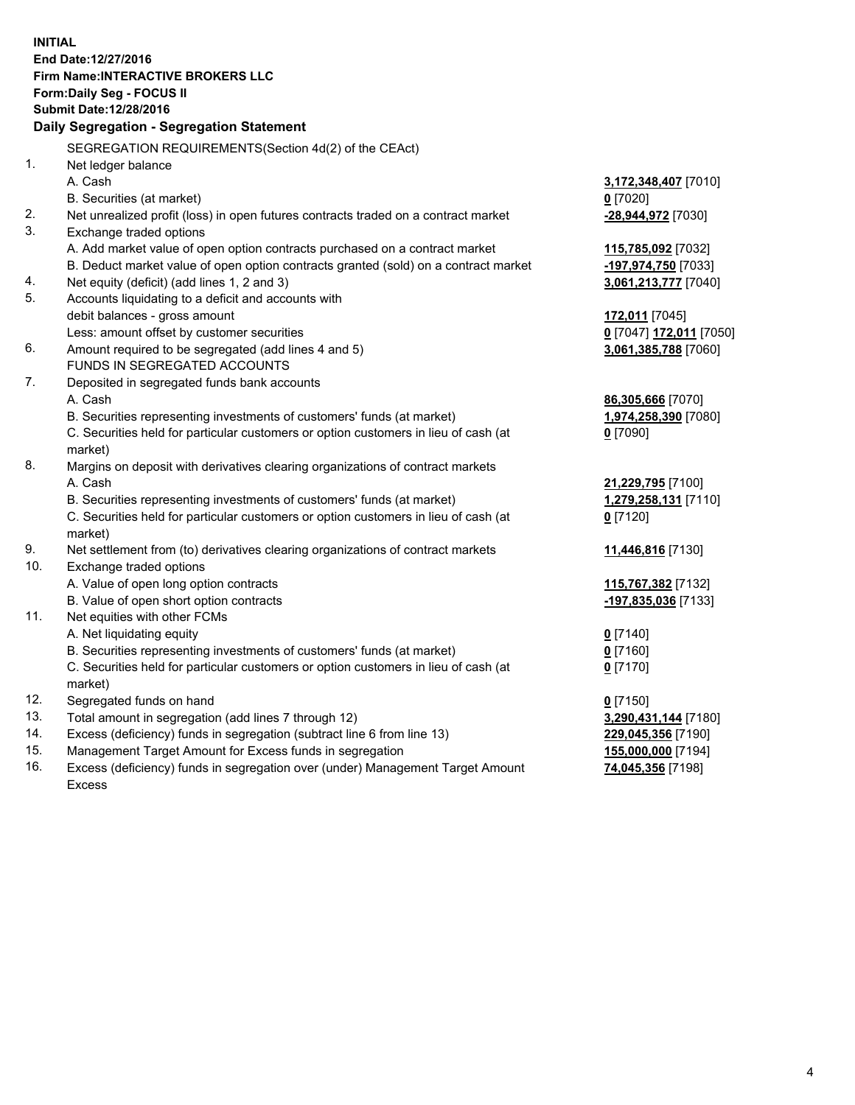**INITIAL End Date:12/27/2016 Firm Name:INTERACTIVE BROKERS LLC Form:Daily Seg - FOCUS II Submit Date:12/28/2016 Daily Segregation - Segregation Statement** SEGREGATION REQUIREMENTS(Section 4d(2) of the CEAct) 1. Net ledger balance A. Cash **3,172,348,407** [7010] B. Securities (at market) **0** [7020] 2. Net unrealized profit (loss) in open futures contracts traded on a contract market **-28,944,972** [7030] 3. Exchange traded options A. Add market value of open option contracts purchased on a contract market **115,785,092** [7032] B. Deduct market value of open option contracts granted (sold) on a contract market **-197,974,750** [7033] 4. Net equity (deficit) (add lines 1, 2 and 3) **3,061,213,777** [7040] 5. Accounts liquidating to a deficit and accounts with debit balances - gross amount **172,011** [7045] Less: amount offset by customer securities **0** [7047] **172,011** [7050] 6. Amount required to be segregated (add lines 4 and 5) **3,061,385,788** [7060] FUNDS IN SEGREGATED ACCOUNTS 7. Deposited in segregated funds bank accounts A. Cash **86,305,666** [7070] B. Securities representing investments of customers' funds (at market) **1,974,258,390** [7080] C. Securities held for particular customers or option customers in lieu of cash (at market) **0** [7090] 8. Margins on deposit with derivatives clearing organizations of contract markets A. Cash **21,229,795** [7100] B. Securities representing investments of customers' funds (at market) **1,279,258,131** [7110] C. Securities held for particular customers or option customers in lieu of cash (at market) **0** [7120] 9. Net settlement from (to) derivatives clearing organizations of contract markets **11,446,816** [7130] 10. Exchange traded options A. Value of open long option contracts **115,767,382** [7132] B. Value of open short option contracts **-197,835,036** [7133] 11. Net equities with other FCMs A. Net liquidating equity **0** [7140] B. Securities representing investments of customers' funds (at market) **0** [7160] C. Securities held for particular customers or option customers in lieu of cash (at market) **0** [7170] 12. Segregated funds on hand **0** [7150] 13. Total amount in segregation (add lines 7 through 12) **3,290,431,144** [7180] 14. Excess (deficiency) funds in segregation (subtract line 6 from line 13) **229,045,356** [7190] 15. Management Target Amount for Excess funds in segregation **155,000,000** [7194]

16. Excess (deficiency) funds in segregation over (under) Management Target Amount Excess

**74,045,356** [7198]